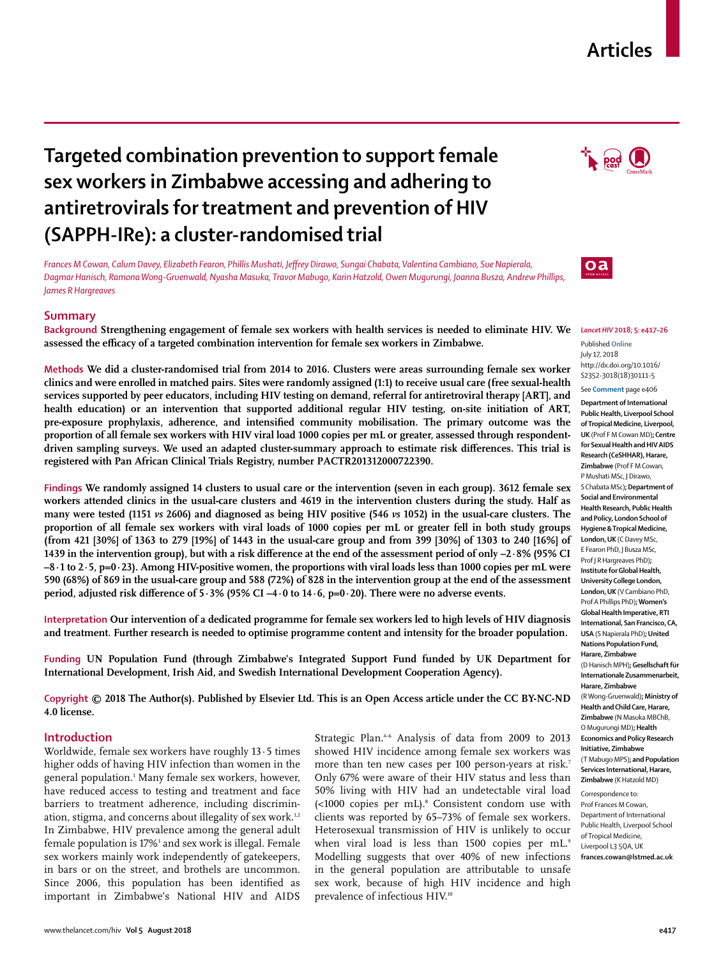## **Articles**

# **Targeted combination prevention to support female sex workers in Zimbabwe accessing and adhering to antiretrovirals for treatment and prevention of HIV (SAPPH-IRe): a cluster-randomised trial**

*Frances M Cowan, Calum Davey, Elizabeth Fearon, Phillis Mushati, Jeffrey Dirawo, Sungai Chabata, Valentina Cambiano, Sue Napierala, Dagmar Hanisch, Ramona Wong-Gruenwald, Nyasha Masuka, Travor Mabugo, Karin Hatzold, Owen Mugurungi, Joanna Busza, Andrew Phillips, James R Hargreaves*

## **Summary**

**Background Strengthening engagement of female sex workers with health services is needed to eliminate HIV. We assessed the efficacy of a targeted combination intervention for female sex workers in Zimbabwe.**

**Methods We did a cluster-randomised trial from 2014 to 2016. Clusters were areas surrounding female sex worker clinics and were enrolled in matched pairs. Sites were randomly assigned (1:1) to receive usual care (free sexual-health services supported by peer educators, including HIV testing on demand, referral for antiretroviral therapy [ART], and health education) or an intervention that supported additional regular HIV testing, on-site initiation of ART, pre-exposure prophylaxis, adherence, and intensified community mobilisation. The primary outcome was the proportion of all female sex workers with HIV viral load 1000 copies per mL or greater, assessed through respondentdriven sampling surveys. We used an adapted cluster-summary approach to estimate risk differences. This trial is registered with Pan African Clinical Trials Registry, number PACTR201312000722390.**

**Findings We randomly assigned 14 clusters to usual care or the intervention (seven in each group). 3612 female sex workers attended clinics in the usual-care clusters and 4619 in the intervention clusters during the study. Half as many were tested (1151** *vs* **2606) and diagnosed as being HIV positive (546** *vs* **1052) in the usual-care clusters. The proportion of all female sex workers with viral loads of 1000 copies per mL or greater fell in both study groups (from 421 [30%] of 1363 to 279 [19%] of 1443 in the usual-care group and from 399 [30%] of 1303 to 240 [16%] of 1439 in the intervention group), but with a risk difference at the end of the assessment period of only –2·8% (95% CI –8·1 to 2·5, p=0·23). Among HIV-positive women, the proportions with viral loads less than 1000 copies per mL were 590 (68%) of 869 in the usual-care group and 588 (72%) of 828 in the intervention group at the end of the assessment period, adjusted risk difference of 5·3% (95% CI –4·0 to 14·6, p=0·20). There were no adverse events.**

**Interpretation Our intervention of a dedicated programme for female sex workers led to high levels of HIV diagnosis and treatment. Further research is needed to optimise programme content and intensity for the broader population.**

**Funding UN Population Fund (through Zimbabwe's Integrated Support Fund funded by UK Department for International Development, Irish Aid, and Swedish International Development Cooperation Agency).** 

**Copyright © 2018 The Author(s). Published by Elsevier Ltd. This is an Open Access article under the CC BY-NC-ND 4.0 license.**

## **Introduction**

Worldwide, female sex workers have roughly 13·5 times higher odds of having HIV infection than women in the general population.1 Many female sex workers, however, have reduced access to testing and treatment and face barriers to treatment adherence, including discrimination, stigma, and concerns about illegality of sex work.<sup>1,2</sup> In Zimbabwe, HIV prevalence among the general adult female population is 17%3 and sex work is illegal. Female sex workers mainly work independently of gatekeepers, in bars or on the street, and brothels are uncommon. Since 2006, this population has been identified as important in Zimbabwe's National HIV and AIDS

Strategic Plan.<sup>46</sup> Analysis of data from 2009 to 2013 showed HIV incidence among female sex workers was more than ten new cases per 100 person-years at risk.7 Only 67% were aware of their HIV status and less than 50% living with HIV had an undetectable viral load (<1000 copies per mL).8 Consistent condom use with clients was reported by 65–73% of female sex workers. Heterosexual transmission of HIV is unlikely to occur when viral load is less than 1500 copies per mL.9 Modelling suggests that over 40% of new infections in the general population are attributable to unsafe sex work, because of high HIV incidence and high prevalence of infectious HIV.10





*Lancet HIV* **2018; 5: e417–26** Published **Online** July 17, 2018 http://dx.doi.org/10.1016/ S2352-3018(18)30111-5

See **Comment** page e406

**Department of International Public Health, Liverpool School of Tropical Medicine, Liverpool, UK** (Prof F M Cowan MD)**; Centre for Sexual Health and HIV AIDS Research (CeSHHAR), Harare, Zimbabwe** (Prof F M Cowan, P Mushati MSc, J Dirawo, S Chabata MSc)**; Department of Social and Environmental Health Research, Public Health and Policy, London School of Hygiene & Tropical Medicine, London, UK** (C Davey MSc, E Fearon PhD, J Busza MSc, Prof J R Hargreaves PhD)**; Institute for Global Health, University College London, London, UK** (V Cambiano PhD, Prof A Phillips PhD)**; Women's Global Health Imperative, RTI International, San Francisco, CA, USA** (S Napierala PhD)**; United Nations Population Fund, Harare, Zimbabwe**  (D Hanisch MPH)**; Gesellschaft für Internationale Zusammenarbeit, Harare, Zimbabwe**  (R Wong-Gruenwald)**; Ministry of Health and Child Care, Harare, Zimbabwe** (N Masuka MBChB, O Mugurungi MD)**; Health Economics and Policy Research Initiative, Zimbabwe** (T Mabugo MPS)**; and Population Services International, Harare, Zimbabwe** (K Hatzold MD) Correspondence to: Prof Frances M Cowan, Department of International Public Health, Liverpool School of Tropical Medicine, Liverpool L3 5QA, UK

**frances.cowan@lstmed.ac.uk**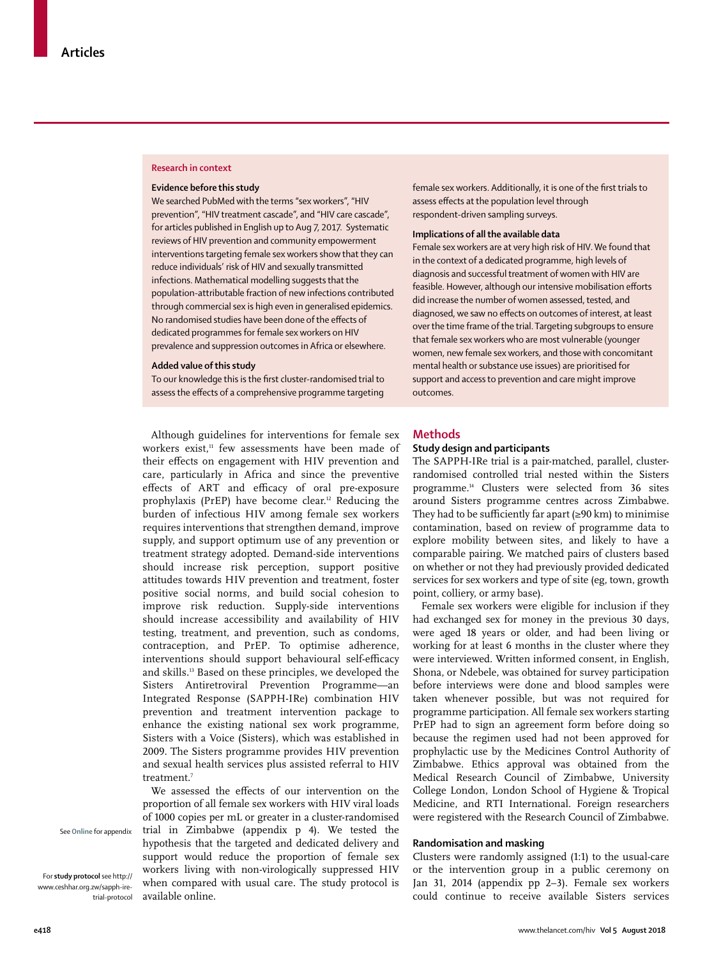#### **Research in context**

#### **Evidence before this study**

We searched PubMed with the terms "sex workers", "HIV prevention", "HIV treatment cascade", and "HIV care cascade", for articles published in English up to Aug 7, 2017. Systematic reviews of HIV prevention and community empowerment interventions targeting female sex workers show that they can reduce individuals' risk of HIV and sexually transmitted infections. Mathematical modelling suggests that the population-attributable fraction of new infections contributed through commercial sex is high even in generalised epidemics. No randomised studies have been done of the effects of dedicated programmes for female sex workers on HIV prevalence and suppression outcomes in Africa or elsewhere.

#### **Added value of this study**

To our knowledge this is the first cluster-randomised trial to assess the effects of a comprehensive programme targeting

Although guidelines for interventions for female sex workers exist,<sup>11</sup> few assessments have been made of their effects on engagement with HIV prevention and care, particularly in Africa and since the preventive effects of ART and efficacy of oral pre-exposure prophylaxis (PrEP) have become clear. 12 Reducing the burden of infectious HIV among female sex workers requires interventions that strengthen demand, improve supply, and support optimum use of any prevention or treatment strategy adopted. Demand-side interventions should increase risk perception, support positive attitudes towards HIV prevention and treatment, foster positive social norms, and build social cohesion to improve risk reduction. Supply-side interventions should increase accessibility and availability of HIV testing, treatment, and prevention, such as condoms, contraception, and PrEP. To optimise adherence, interventions should support behavioural self-efficacy and skills.13 Based on these principles, we developed the Sisters Antiretroviral Prevention Programme—an Integrated Response (SAPPH-IRe) combination HIV prevention and treatment intervention package to enhance the existing national sex work programme, Sisters with a Voice (Sisters), which was established in 2009. The Sisters programme provides HIV prevention and sexual health services plus assisted referral to HIV treatment.7

We assessed the effects of our intervention on the proportion of all female sex workers with HIV viral loads of 1000 copies per mL or greater in a cluster-randomised trial in Zimbabwe (appendix p 4). We tested the hypothesis that the targeted and dedicated delivery and support would reduce the proportion of female sex workers living with non-virologically suppressed HIV when compared with usual care. The [study protocol](http://www.ceshhar.org.zw/sapph-ire-trial-protocol) is available online.

female sex workers. Additionally, it is one of the first trials to assess effects at the population level through respondent-driven sampling surveys.

## **Implications of all the available data**

Female sex workers are at very high risk of HIV. We found that in the context of a dedicated programme, high levels of diagnosis and successful treatment of women with HIV are feasible. However, although our intensive mobilisation efforts did increase the number of women assessed, tested, and diagnosed, we saw no effects on outcomes of interest, at least over the time frame of the trial. Targeting subgroups to ensure that female sex workers who are most vulnerable (younger women, new female sex workers, and those with concomitant mental health or substance use issues) are prioritised for support and access to prevention and care might improve outcomes.

## **Methods**

## **Study design and participants**

The SAPPH-IRe trial is a pair-matched, parallel, clusterrandomised controlled trial nested within the Sisters programme.14 Clusters were selected from 36 sites around Sisters programme centres across Zimbabwe. They had to be sufficiently far apart (≥90 km) to minimise contamination, based on review of programme data to explore mobility between sites, and likely to have a comparable pairing. We matched pairs of clusters based on whether or not they had previously provided dedicated services for sex workers and type of site (eg, town, growth point, colliery, or army base).

Female sex workers were eligible for inclusion if they had exchanged sex for money in the previous 30 days, were aged 18 years or older, and had been living or working for at least 6 months in the cluster where they were interviewed. Written informed consent, in English, Shona, or Ndebele, was obtained for survey participation before interviews were done and blood samples were taken whenever possible, but was not required for programme participation. All female sex workers starting PrEP had to sign an agreement form before doing so because the regimen used had not been approved for prophylactic use by the Medicines Control Authority of Zimbabwe. Ethics approval was obtained from the Medical Research Council of Zimbabwe, University College London, London School of Hygiene & Tropical Medicine, and RTI International. Foreign researchers were registered with the Research Council of Zimbabwe.

## **Randomisation and masking**

Clusters were randomly assigned (1:1) to the usual-care or the intervention group in a public ceremony on Jan 31, 2014 (appendix pp 2–3). Female sex workers could continue to receive available Sisters services

See **Online** for appendix

For **study protocol** see http:// www.ceshhar.org.zw/sapph-iretrial-protocol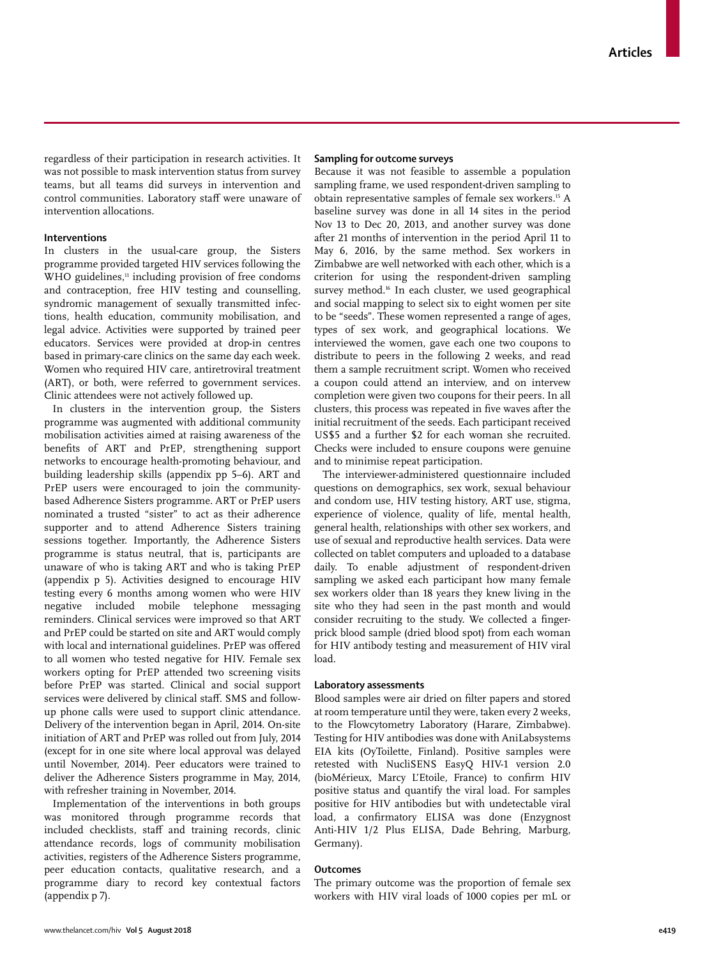regardless of their participation in research activities. It was not possible to mask intervention status from survey teams, but all teams did surveys in intervention and control communities. Laboratory staff were unaware of intervention allocations.

## **Interventions**

In clusters in the usual-care group, the Sisters programme provided targeted HIV services following the WHO guidelines, $\frac{11}{11}$  including provision of free condoms and contraception, free HIV testing and counselling, syndromic management of sexually transmitted infections, health education, community mobilisation, and legal advice. Activities were supported by trained peer educators. Services were provided at drop-in centres based in primary-care clinics on the same day each week. Women who required HIV care, antiretroviral treatment (ART), or both, were referred to government services. Clinic attendees were not actively followed up.

In clusters in the intervention group, the Sisters programme was augmented with additional community mobilisation activities aimed at raising awareness of the benefits of ART and PrEP, strengthening support networks to encourage health-promoting behaviour, and building leadership skills (appendix pp 5–6). ART and PrEP users were encouraged to join the communitybased Adherence Sisters programme. ART or PrEP users nominated a trusted "sister" to act as their adherence supporter and to attend Adherence Sisters training sessions together. Importantly, the Adherence Sisters programme is status neutral, that is, participants are unaware of who is taking ART and who is taking PrEP (appendix p 5). Activities designed to encourage HIV testing every 6 months among women who were HIV negative included mobile telephone messaging reminders. Clinical services were improved so that ART and PrEP could be started on site and ART would comply with local and international guidelines. PrEP was offered to all women who tested negative for HIV. Female sex workers opting for PrEP attended two screening visits before PrEP was started. Clinical and social support services were delivered by clinical staff. SMS and followup phone calls were used to support clinic attendance. Delivery of the intervention began in April, 2014. On-site initiation of ART and PrEP was rolled out from July, 2014 (except for in one site where local approval was delayed until November, 2014). Peer educators were trained to deliver the Adherence Sisters programme in May, 2014, with refresher training in November, 2014.

Implementation of the interventions in both groups was monitored through programme records that included checklists, staff and training records, clinic attendance records, logs of community mobilisation activities, registers of the Adherence Sisters programme, peer education contacts, qualitative research, and a programme diary to record key contextual factors (appendix p 7).

#### **Sampling for outcome surveys**

Because it was not feasible to assemble a population sampling frame, we used respondent-driven sampling to obtain representative samples of female sex workers.15 A baseline survey was done in all 14 sites in the period Nov 13 to Dec 20, 2013, and another survey was done after 21 months of intervention in the period April 11 to May 6, 2016, by the same method. Sex workers in Zimbabwe are well networked with each other, which is a criterion for using the respondent-driven sampling survey method.<sup>16</sup> In each cluster, we used geographical and social mapping to select six to eight women per site to be "seeds". These women represented a range of ages, types of sex work, and geographical locations. We interviewed the women, gave each one two coupons to distribute to peers in the following 2 weeks, and read them a sample recruitment script. Women who received a coupon could attend an interview, and on intervew completion were given two coupons for their peers. In all clusters, this process was repeated in five waves after the initial recruitment of the seeds. Each participant received US\$5 and a further \$2 for each woman she recruited. Checks were included to ensure coupons were genuine and to minimise repeat participation.

The interviewer-administered questionnaire included questions on demographics, sex work, sexual behaviour and condom use, HIV testing history, ART use, stigma, experience of violence, quality of life, mental health, general health, relationships with other sex workers, and use of sexual and reproductive health services. Data were collected on tablet computers and uploaded to a database daily. To enable adjustment of respondent-driven sampling we asked each participant how many female sex workers older than 18 years they knew living in the site who they had seen in the past month and would consider recruiting to the study. We collected a fingerprick blood sample (dried blood spot) from each woman for HIV antibody testing and measurement of HIV viral load.

#### **Laboratory assessments**

Blood samples were air dried on filter papers and stored at room temperature until they were, taken every 2 weeks, to the Flowcytometry Laboratory (Harare, Zimbabwe). Testing for HIV antibodies was done with AniLabsystems EIA kits (OyToilette, Finland). Positive samples were retested with NucliSENS EasyQ HIV-1 version 2.0 (bioMérieux, Marcy L'Etoile, France) to confirm HIV positive status and quantify the viral load. For samples positive for HIV antibodies but with undetectable viral load, a confirmatory ELISA was done (Enzygnost Anti-HIV 1/2 Plus ELISA, Dade Behring, Marburg, Germany).

#### **Outcomes**

The primary outcome was the proportion of female sex workers with HIV viral loads of 1000 copies per mL or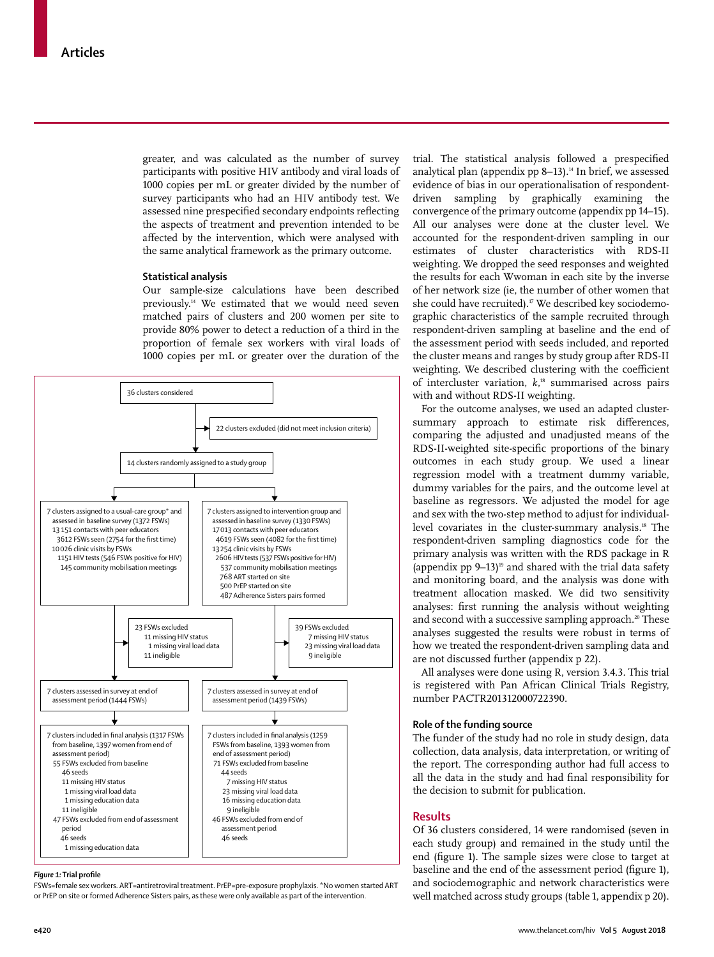greater, and was calculated as the number of survey participants with positive HIV antibody and viral loads of 1000 copies per mL or greater divided by the number of survey participants who had an HIV antibody test. We assessed nine prespecified secondary endpoints reflecting the aspects of treatment and prevention intended to be affected by the intervention, which were analysed with the same analytical framework as the primary outcome.

## **Statistical analysis**

Our sample-size calculations have been described previously.14 We estimated that we would need seven matched pairs of clusters and 200 women per site to provide 80% power to detect a reduction of a third in the proportion of female sex workers with viral loads of 1000 copies per mL or greater over the duration of the



#### *Figure 1:* **Trial profile**

FSWs=female sex workers. ART=antiretroviral treatment. PrEP=pre-exposure prophylaxis. \*No women started ART or PrEP on site or formed Adherence Sisters pairs, as these were only available as part of the intervention.

trial. The statistical analysis followed a prespecified analytical plan (appendix pp 8–13).<sup>14</sup> In brief, we assessed evidence of bias in our operationalisation of respondentdriven sampling by graphically examining the convergence of the primary outcome (appendix pp 14–15). All our analyses were done at the cluster level. We accounted for the respondent-driven sampling in our estimates of cluster characteristics with RDS-II weighting. We dropped the seed responses and weighted the results for each Wwoman in each site by the inverse of her network size (ie, the number of other women that she could have recruited).<sup>17</sup> We described key sociodemographic characteristics of the sample recruited through respondent-driven sampling at baseline and the end of the assessment period with seeds included, and reported the cluster means and ranges by study group after RDS-II weighting. We described clustering with the coefficient of intercluster variation, *k*, 18 summarised across pairs with and without RDS-II weighting.

For the outcome analyses, we used an adapted clustersummary approach to estimate risk differences, comparing the adjusted and unadjusted means of the RDS-II-weighted site-specific proportions of the binary outcomes in each study group. We used a linear regression model with a treatment dummy variable, dummy variables for the pairs, and the outcome level at baseline as regressors. We adjusted the model for age and sex with the two-step method to adjust for individuallevel covariates in the cluster-summary analysis.18 The respondent-driven sampling diagnostics code for the primary analysis was written with the RDS package in R (appendix pp  $9-13$ )<sup>19</sup> and shared with the trial data safety and monitoring board, and the analysis was done with treatment allocation masked. We did two sensitivity analyses: first running the analysis without weighting and second with a successive sampling approach.<sup>20</sup> These analyses suggested the results were robust in terms of how we treated the respondent-driven sampling data and are not discussed further (appendix p 22).

All analyses were done using R, version 3.4.3. This trial is registered with Pan African Clinical Trials Registry, number PACTR201312000722390.

#### **Role of the funding source**

The funder of the study had no role in study design, data collection, data analysis, data interpretation, or writing of the report. The corresponding author had full access to all the data in the study and had final responsibility for the decision to submit for publication.

## **Results**

Of 36 clusters considered, 14 were randomised (seven in each study group) and remained in the study until the end (figure 1). The sample sizes were close to target at baseline and the end of the assessment period (figure 1), and sociodemographic and network characteristics were well matched across study groups (table 1, appendix p 20).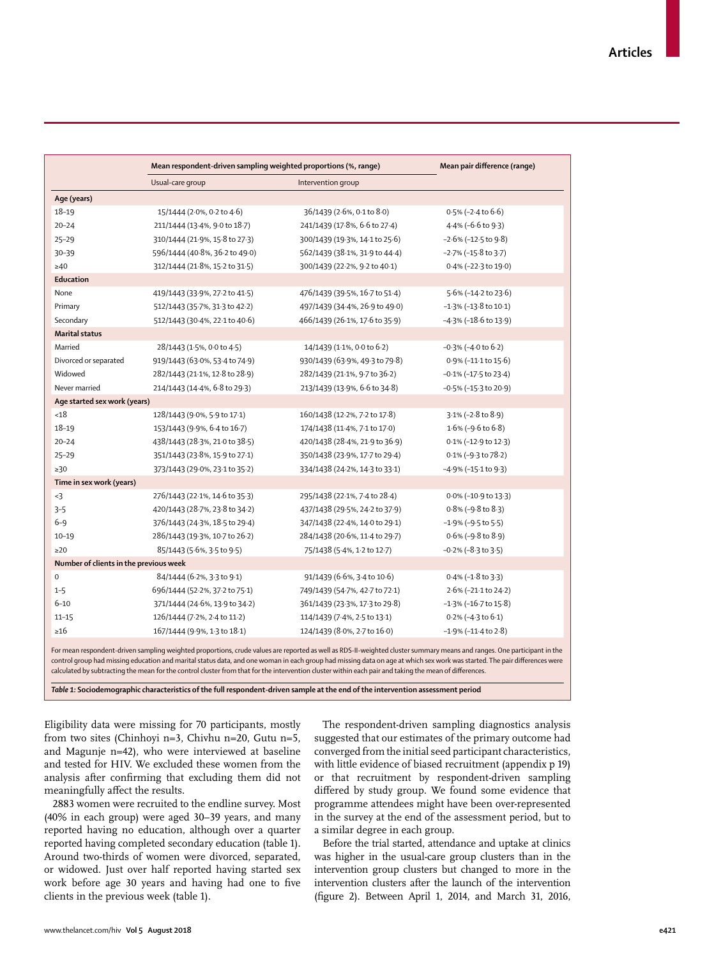|                                        | Mean respondent-driven sampling weighted proportions (%, range) |                                | Mean pair difference (range)  |
|----------------------------------------|-----------------------------------------------------------------|--------------------------------|-------------------------------|
|                                        | Usual-care group                                                | Intervention group             |                               |
| Age (years)                            |                                                                 |                                |                               |
| $18 - 19$                              | 15/1444 (2.0%, 0.2 to 4.6)                                      | 36/1439 (2.6%, 0.1 to 8.0)     | $0.5\%$ (-2.4 to 6.6)         |
| $20 - 24$                              | 211/1444 (13.4%, 9.0 to 18.7)                                   | 241/1439 (17-8%, 6-6 to 27-4)  | $4.4\%$ (-6.6 to 9.3)         |
| $25 - 29$                              | 310/1444 (21.9%, 15.8 to 27.3)                                  | 300/1439 (19-3%, 14-1 to 25-6) | $-2.6\%$ (-12.5 to 9.8)       |
| $30 - 39$                              | 596/1444 (40-8%, 36-2 to 49-0)                                  | 562/1439 (38-1%, 31-9 to 44-4) | $-2.7\%$ (-15.8 to 3.7)       |
| $\geq 40$                              | 312/1444 (21.8%, 15.2 to 31.5)                                  | 300/1439 (22-2%, 9-2 to 40-1)  | 0.4% (-22.3 to 19.0)          |
| Education                              |                                                                 |                                |                               |
| None                                   | 419/1443 (33-9%, 27-2 to 41-5)                                  | 476/1439 (39.5%, 16.7 to 51.4) | 5.6% (-14.2 to 23.6)          |
| Primary                                | 512/1443 (35.7%, 31.3 to 42.2)                                  | 497/1439 (34-4%, 26-9 to 49-0) | $-1.3\%$ (-13.8 to 10.1)      |
| Secondary                              | 512/1443 (30-4%, 22-1 to 40-6)                                  | 466/1439 (26-1%, 17-6 to 35-9) | $-4.3\%$ (-18.6 to 13.9)      |
| <b>Marital status</b>                  |                                                                 |                                |                               |
| Married                                | 28/1443 (1.5%, 0.0 to 4.5)                                      | 14/1439 (1-1%, 0-0 to 6-2)     | $-0.3\%$ (-4.0 to 6.2)        |
| Divorced or separated                  | 919/1443 (63.0%, 53.4 to 74.9)                                  | 930/1439 (63.9%, 49.3 to 79.8) | 0.9% (-11.1 to 15.6)          |
| Widowed                                | 282/1443 (21.1%, 12.8 to 28.9)                                  | 282/1439 (21.1%, 9.7 to 36.2)  | $-0.1\%$ (-17.5 to 23.4)      |
| Never married                          | 214/1443 (14-4%, 6-8 to 29-3)                                   | 213/1439 (13.9%, 6.6 to 34.8)  | $-0.5\%$ (-15.3 to 20.9)      |
| Age started sex work (years)           |                                                                 |                                |                               |
| < 18                                   | 128/1443 (9.0%, 5.9 to 17.1)                                    | 160/1438 (12-2%, 7-2 to 17-8)  | 3.1% (-2.8 to 8.9)            |
| $18 - 19$                              | 153/1443 (9.9%, 6.4 to 16.7)                                    | 174/1438 (11-4%, 7-1 to 17-0)  | $1.6\%$ (-9.6 to 6.8)         |
| $20 - 24$                              | 438/1443 (28.3%, 21.0 to 38.5)                                  | 420/1438 (28-4%, 21-9 to 36-9) | 0.1% (-12.9 to 12.3)          |
| $25 - 29$                              | 351/1443 (23-8%, 15-9 to 27-1)                                  | 350/1438 (23.9%, 17.7 to 29.4) | 0.1% (-9.3 to 78.2)           |
| $\geq 30$                              | 373/1443 (29.0%, 23.1 to 35.2)                                  | 334/1438 (24.2%, 14.3 to 33.1) | $-4.9\%$ ( $-15.1$ to $9.3$ ) |
| Time in sex work (years)               |                                                                 |                                |                               |
| $3$                                    | 276/1443 (22-1%, 14-6 to 35-3)                                  | 295/1438 (22-1%, 7-4 to 28-4)  | 0.0% (-10.9 to 13.3)          |
| $3 - 5$                                | 420/1443 (28.7%, 23.8 to 34.2)                                  | 437/1438 (29.5%, 24.2 to 37.9) | $0.8\%$ (-9.8 to 8.3)         |
| $6 - 9$                                | 376/1443 (24.3%, 18.5 to 29.4)                                  | 347/1438 (22-4%, 14-0 to 29-1) | $-1.9\%$ (-9.5 to 5.5)        |
| $10 - 19$                              | 286/1443 (19.3%, 10.7 to 26.2)                                  | 284/1438 (20.6%, 11.4 to 29.7) | $0.6\%$ (-9.8 to 8.9)         |
| $\geq$ 20                              | 85/1443 (5.6%, 3.5 to 9.5)                                      | 75/1438 (5-4%, 1-2 to 12-7)    | $-0.2\%$ ( $-8.3$ to $3.5$ )  |
| Number of clients in the previous week |                                                                 |                                |                               |
| $\mathbf 0$                            | 84/1444 (6.2%, 3.3 to 9.1)                                      | 91/1439 (6.6%, 3.4 to 10.6)    | $0.4\%$ (-1.8 to 3.3)         |
| $1 - 5$                                | 696/1444 (52-2%, 37-2 to 75-1)                                  | 749/1439 (54.7%, 42.7 to 72.1) | 2.6% (-21.1 to 24.2)          |
| $6 - 10$                               | 371/1444 (24.6%, 13.9 to 34.2)                                  | 361/1439 (23-3%, 17-3 to 29-8) | $-1.3\%$ (-16.7 to 15.8)      |
| $11 - 15$                              | 126/1444 (7.2%, 2.4 to 11.2)                                    | 114/1439 (7.4%, 2.5 to 13.1)   | $0.2\%$ (-4.3 to $6.1$ )      |
| $\geq 16$                              | 167/1444 (9.9%, 1.3 to 18.1)                                    | 124/1439 (8.0%, 2.7 to 16.0)   | $-1.9\%$ ( $-11.4$ to $2.8$ ) |

For mean respondent-driven sampling weighted proportions, crude values are reported as well as RDS-II-weighted cluster summary means and ranges. One participant in the control group had missing education and marital status data, and one woman in each group had missing data on age at which sex work was started. The pair differences were calculated by subtracting the mean for the control cluster from that for the intervention cluster within each pair and taking the mean of differences.

*Table 1:* **Sociodemographic characteristics of the full respondent-driven sample at the end of the intervention assessment period**

Eligibility data were missing for 70 participants, mostly from two sites (Chinhoyi n=3, Chivhu n=20, Gutu n=5, and Magunje n=42), who were interviewed at baseline and tested for HIV. We excluded these women from the analysis after confirming that excluding them did not meaningfully affect the results.

2883 women were recruited to the endline survey. Most (40% in each group) were aged 30–39 years, and many reported having no education, although over a quarter reported having completed secondary education (table 1). Around two-thirds of women were divorced, separated, or widowed. Just over half reported having started sex work before age 30 years and having had one to five clients in the previous week (table 1).

The respondent-driven sampling diagnostics analysis suggested that our estimates of the primary outcome had converged from the initial seed participant characteristics, with little evidence of biased recruitment (appendix p 19) or that recruitment by respondent-driven sampling differed by study group. We found some evidence that programme attendees might have been over-represented in the survey at the end of the assessment period, but to a similar degree in each group.

Before the trial started, attendance and uptake at clinics was higher in the usual-care group clusters than in the intervention group clusters but changed to more in the intervention clusters after the launch of the intervention (figure 2). Between April 1, 2014, and March 31, 2016,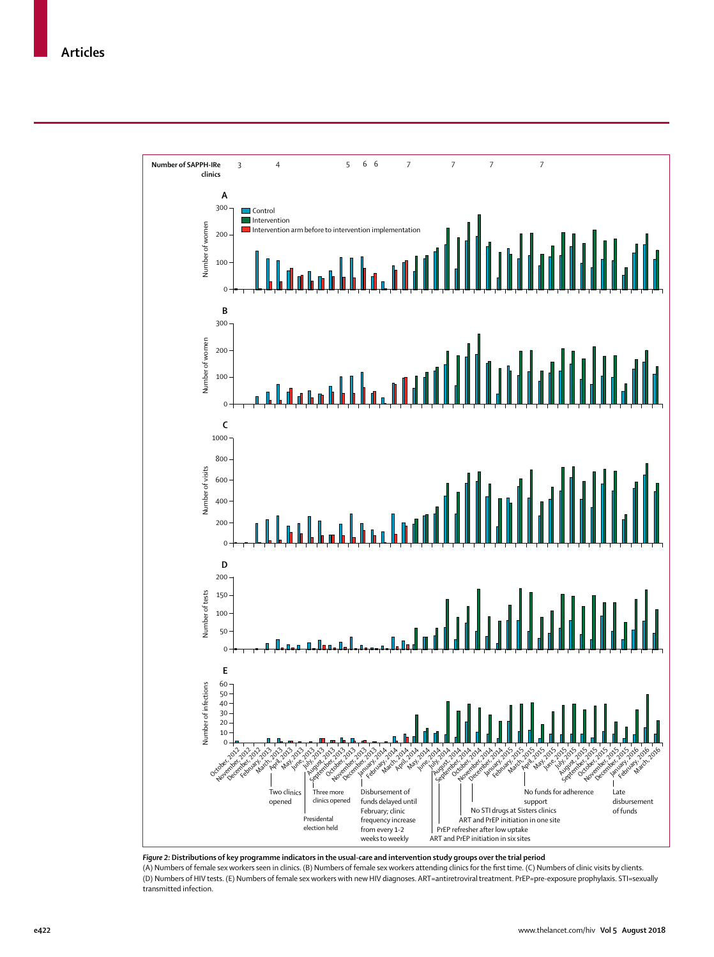

*Figure 2:* **Distributions of key programme indicators in the usual-care and intervention study groups over the trial period** (A) Numbers of female sex workers seen in clinics. (B) Numbers of female sex workers attending clinics for the first time. (C) Numbers of clinic visits by clients. (D) Numbers of HIV tests. (E) Numbers of female sex workers with new HIV diagnoses. ART=antiretroviral treatment. PrEP=pre-exposure prophylaxis. STI=sexually transmitted infection.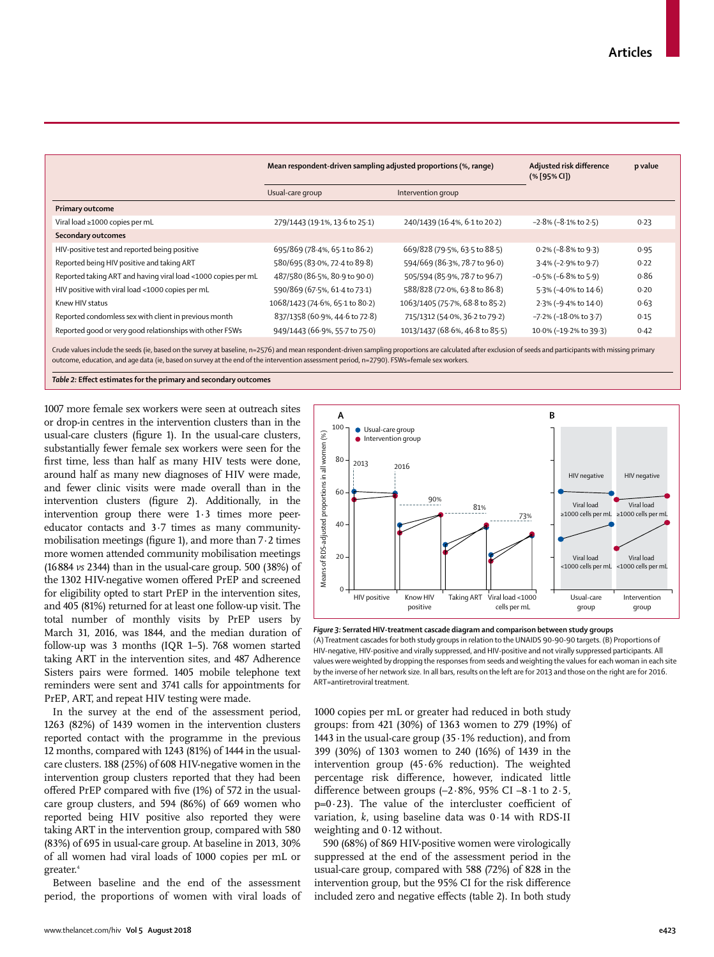|                                                               | Mean respondent-driven sampling adjusted proportions (%, range) |                                 | Adjusted risk difference<br>$(% \mathbb{R}^2)$ (% [95% CI]) | p value |
|---------------------------------------------------------------|-----------------------------------------------------------------|---------------------------------|-------------------------------------------------------------|---------|
|                                                               | Usual-care group                                                | Intervention group              |                                                             |         |
| <b>Primary outcome</b>                                        |                                                                 |                                 |                                                             |         |
| Viral load ≥1000 copies per mL                                | 279/1443 (19-1%, 13-6 to 25-1)                                  | 240/1439 (16-4%, 6-1 to 20-2)   | $-2.8\%$ ( $-8.1\%$ to 2.5)                                 | 0.23    |
| <b>Secondary outcomes</b>                                     |                                                                 |                                 |                                                             |         |
| HIV-positive test and reported being positive                 | 695/869 (78.4%, 65.1 to 86.2)                                   | 669/828 (79.5%, 63.5 to 88.5)   | $0.2\%$ (-8.8% to 9.3)                                      | 0.95    |
| Reported being HIV positive and taking ART                    | 580/695 (83.0%, 72.4 to 89.8)                                   | 594/669 (86.3%, 78.7 to 96.0)   | 3.4% (-2.9% to 9.7)                                         | 0.22    |
| Reported taking ART and having viral load <1000 copies per mL | 487/580 (86.5%, 80.9 to 90.0)                                   | 505/594 (85.9%, 78.7 to 96.7)   | $-0.5\%$ ( $-6.8\%$ to 5.9)                                 | 0.86    |
| HIV positive with viral load <1000 copies per mL              | 590/869 (67.5%, 61.4 to 73.1)                                   | 588/828 (72.0%, 63.8 to 86.8)   | $5.3\%$ (-4.0% to 14.6)                                     | 0.20    |
| Knew HIV status                                               | 1068/1423 (74.6%, 65.1 to 80.2)                                 | 1063/1405 (75.7%, 68.8 to 85.2) | 2.3% (-9.4% to 14.0)                                        | 0.63    |
| Reported condomless sex with client in previous month         | 837/1358 (60.9%, 44.6 to 72.8)                                  | 715/1312 (54.0%, 36.2 to 79.2)  | $-7.2\%$ ( $-18.0\%$ to 3.7)                                | 0.15    |
| Reported good or very good relationships with other FSWs      | 949/1443 (66.9%, 55.7 to 75.0)                                  | 1013/1437 (68.6%, 46.8 to 85.5) | 10.0% (-19.2% to 39.3)                                      | 0.42    |

Crude values include the seeds (ie, based on the survey at baseline, n=2576) and mean respondent-driven sampling proportions are calculated after exclusion of seeds and participants with missing primary outcome, education, and age data (ie, based on survey at the end of the intervention assessment period, n=2790). FSWs=female sex workers.

ART=antiretroviral treatment.

*Table 2:* **Effect estimates for the primary and secondary outcomes**

1007 more female sex workers were seen at outreach sites or drop-in centres in the intervention clusters than in the usual-care clusters (figure 1). In the usual-care clusters, substantially fewer female sex workers were seen for the first time, less than half as many HIV tests were done, around half as many new diagnoses of HIV were made, and fewer clinic visits were made overall than in the intervention clusters (figure 2). Additionally, in the intervention group there were 1·3 times more peereducator contacts and 3·7 times as many communitymobilisation meetings (figure 1), and more than 7·2 times more women attended community mobilisation meetings (16884 *vs* 2344) than in the usual-care group. 500 (38%) of the 1302 HIV-negative women offered PrEP and screened for eligibility opted to start PrEP in the intervention sites, and 405 (81%) returned for at least one follow-up visit. The total number of monthly visits by PrEP users by March 31, 2016, was 1844, and the median duration of follow-up was 3 months (IQR 1–5). 768 women started taking ART in the intervention sites, and 487 Adherence Sisters pairs were formed. 1405 mobile telephone text reminders were sent and 3741 calls for appointments for PrEP, ART, and repeat HIV testing were made.

In the survey at the end of the assessment period, 1263 (82%) of 1439 women in the intervention clusters reported contact with the programme in the previous 12 months, compared with 1243 (81%) of 1444 in the usualcare clusters. 188 (25%) of 608 HIV-negative women in the intervention group clusters reported that they had been offered PrEP compared with five (1%) of 572 in the usualcare group clusters, and 594 (86%) of 669 women who reported being HIV positive also reported they were taking ART in the intervention group, compared with 580 (83%) of 695 in usual-care group. At baseline in 2013, 30% of all women had viral loads of 1000 copies per mL or greater.4

Between baseline and the end of the assessment period, the proportions of women with viral loads of



*Figure 3:* **Serrated HIV-treatment cascade diagram and comparison between study groups** (A) Treatment cascades for both study groups in relation to the UNAIDS 90-90-90 targets. (B) Proportions of HIV-negative, HIV-positive and virally suppressed, and HIV-positive and not virally suppressed participants. All values were weighted by dropping the responses from seeds and weighting the values for each woman in each site by the inverse of her network size. In all bars, results on the left are for 2013 and those on the right are for 2016.

1000 copies per mL or greater had reduced in both study groups: from 421 (30%) of 1363 women to 279 (19%) of 1443 in the usual-care group (35·1% reduction), and from 399 (30%) of 1303 women to 240 (16%) of 1439 in the intervention group (45·6% reduction). The weighted percentage risk difference, however, indicated little difference between groups  $(-2.8\%, 95\% \text{ CI } -8.1 \text{ to } 2.5,$  $p=0.23$ ). The value of the intercluster coefficient of variation, *k*, using baseline data was 0·14 with RDS-II weighting and 0·12 without.

590 (68%) of 869 HIV-positive women were virologically suppressed at the end of the assessment period in the usual-care group, compared with 588 (72%) of 828 in the intervention group, but the 95% CI for the risk difference included zero and negative effects (table 2). In both study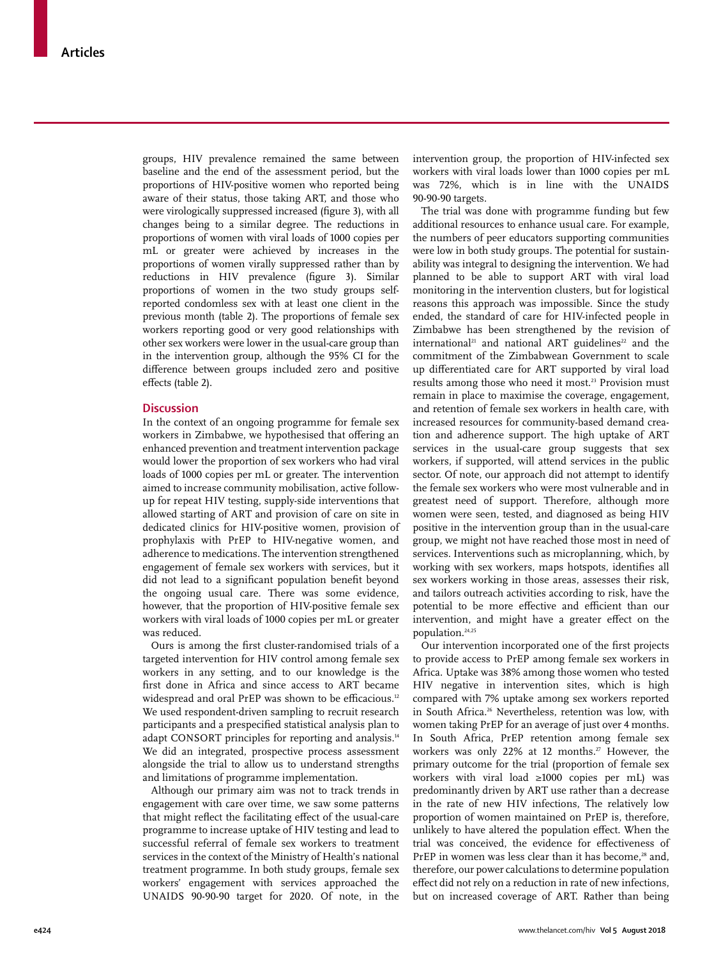groups, HIV prevalence remained the same between baseline and the end of the assessment period, but the proportions of HIV-positive women who reported being aware of their status, those taking ART, and those who were virologically suppressed increased (figure 3), with all changes being to a similar degree. The reductions in proportions of women with viral loads of 1000 copies per mL or greater were achieved by increases in the proportions of women virally suppressed rather than by reductions in HIV prevalence (figure 3). Similar proportions of women in the two study groups selfreported condomless sex with at least one client in the previous month (table 2). The proportions of female sex workers reporting good or very good relationships with other sex workers were lower in the usual-care group than in the intervention group, although the 95% CI for the difference between groups included zero and positive effects (table 2).

## **Discussion**

In the context of an ongoing programme for female sex workers in Zimbabwe, we hypothesised that offering an enhanced prevention and treatment intervention package would lower the proportion of sex workers who had viral loads of 1000 copies per mL or greater. The intervention aimed to increase community mobilisation, active followup for repeat HIV testing, supply-side interventions that allowed starting of ART and provision of care on site in dedicated clinics for HIV-positive women, provision of prophylaxis with PrEP to HIV-negative women, and adherence to medications. The intervention strengthened engagement of female sex workers with services, but it did not lead to a significant population benefit beyond the ongoing usual care. There was some evidence, however, that the proportion of HIV-positive female sex workers with viral loads of 1000 copies per mL or greater was reduced.

Ours is among the first cluster-randomised trials of a targeted intervention for HIV control among female sex workers in any setting, and to our knowledge is the first done in Africa and since access to ART became widespread and oral PrEP was shown to be efficacious.<sup>12</sup> We used respondent-driven sampling to recruit research participants and a prespecified statistical analysis plan to adapt CONSORT principles for reporting and analysis.<sup>14</sup> We did an integrated, prospective process assessment alongside the trial to allow us to understand strengths and limitations of programme implementation.

Although our primary aim was not to track trends in engagement with care over time, we saw some patterns that might reflect the facilitating effect of the usual-care programme to increase uptake of HIV testing and lead to successful referral of female sex workers to treatment services in the context of the Ministry of Health's national treatment programme. In both study groups, female sex workers' engagement with services approached the UNAIDS 90-90-90 target for 2020. Of note, in the intervention group, the proportion of HIV-infected sex workers with viral loads lower than 1000 copies per mL was 72%, which is in line with the UNAIDS 90-90-90 targets.

The trial was done with programme funding but few additional resources to enhance usual care. For example, the numbers of peer educators supporting communities were low in both study groups. The potential for sustainability was integral to designing the intervention. We had planned to be able to support ART with viral load monitoring in the intervention clusters, but for logistical reasons this approach was impossible. Since the study ended, the standard of care for HIV-infected people in Zimbabwe has been strengthened by the revision of international<sup>21</sup> and national ART guidelines<sup>22</sup> and the commitment of the Zimbabwean Government to scale up differentiated care for ART supported by viral load results among those who need it most.<sup>23</sup> Provision must remain in place to maximise the coverage, engagement, and retention of female sex workers in health care, with increased resources for community-based demand creation and adherence support. The high uptake of ART services in the usual-care group suggests that sex workers, if supported, will attend services in the public sector. Of note, our approach did not attempt to identify the female sex workers who were most vulnerable and in greatest need of support. Therefore, although more women were seen, tested, and diagnosed as being HIV positive in the intervention group than in the usual-care group, we might not have reached those most in need of services. Interventions such as microplanning, which, by working with sex workers, maps hotspots, identifies all sex workers working in those areas, assesses their risk, and tailors outreach activities according to risk, have the potential to be more effective and efficient than our intervention, and might have a greater effect on the population.24,25

Our intervention incorporated one of the first projects to provide access to PrEP among female sex workers in Africa. Uptake was 38% among those women who tested HIV negative in intervention sites, which is high compared with 7% uptake among sex workers reported in South Africa.26 Nevertheless, retention was low, with women taking PrEP for an average of just over 4 months. In South Africa, PrEP retention among female sex workers was only 22% at 12 months.<sup>27</sup> However, the primary outcome for the trial (proportion of female sex workers with viral load ≥1000 copies per mL) was predominantly driven by ART use rather than a decrease in the rate of new HIV infections, The relatively low proportion of women maintained on PrEP is, therefore, unlikely to have altered the population effect. When the trial was conceived, the evidence for effectiveness of PrEP in women was less clear than it has become,<sup>28</sup> and, therefore, our power calculations to determine population effect did not rely on a reduction in rate of new infections, but on increased coverage of ART. Rather than being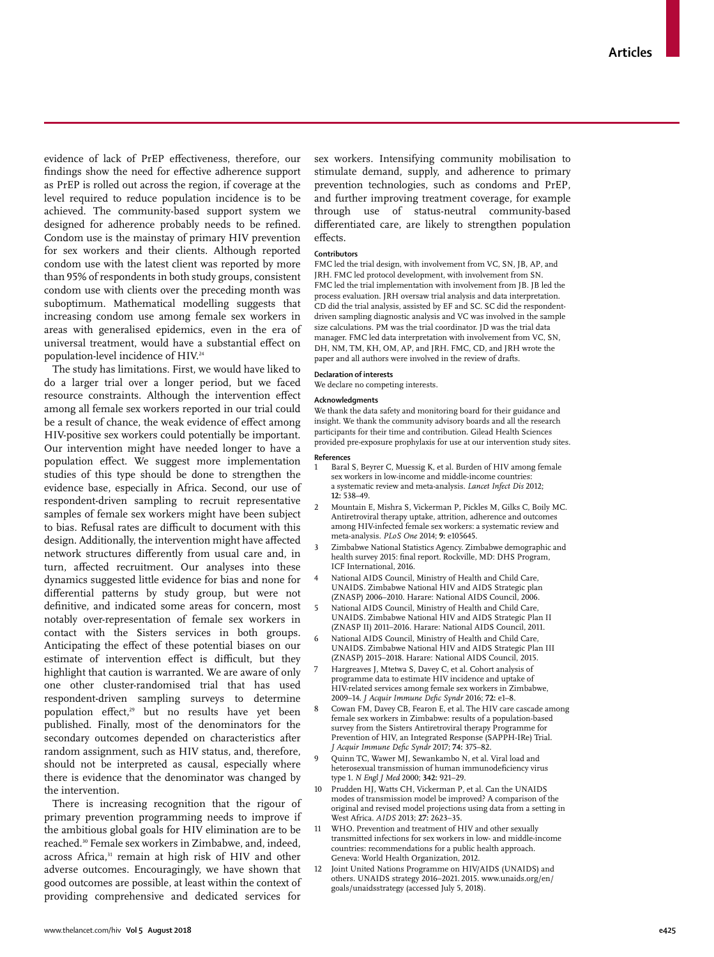evidence of lack of PrEP effectiveness, therefore, our findings show the need for effective adherence support as PrEP is rolled out across the region, if coverage at the level required to reduce population incidence is to be achieved. The community-based support system we designed for adherence probably needs to be refined. Condom use is the mainstay of primary HIV prevention for sex workers and their clients. Although reported condom use with the latest client was reported by more than 95% of respondents in both study groups, consistent condom use with clients over the preceding month was suboptimum. Mathematical modelling suggests that increasing condom use among female sex workers in areas with generalised epidemics, even in the era of universal treatment, would have a substantial effect on population-level incidence of HIV.24

The study has limitations. First, we would have liked to do a larger trial over a longer period, but we faced resource constraints. Although the intervention effect among all female sex workers reported in our trial could be a result of chance, the weak evidence of effect among HIV-positive sex workers could potentially be important. Our intervention might have needed longer to have a population effect. We suggest more implementation studies of this type should be done to strengthen the evidence base, especially in Africa. Second, our use of respondent-driven sampling to recruit representative samples of female sex workers might have been subject to bias. Refusal rates are difficult to document with this design. Additionally, the intervention might have affected network structures differently from usual care and, in turn, affected recruitment. Our analyses into these dynamics suggested little evidence for bias and none for differential patterns by study group, but were not definitive, and indicated some areas for concern, most notably over-representation of female sex workers in contact with the Sisters services in both groups. Anticipating the effect of these potential biases on our estimate of intervention effect is difficult, but they highlight that caution is warranted. We are aware of only one other cluster-randomised trial that has used respondent-driven sampling surveys to determine population effect,<sup>29</sup> but no results have yet been published. Finally, most of the denominators for the secondary outcomes depended on characteristics after random assignment, such as HIV status, and, therefore, should not be interpreted as causal, especially where there is evidence that the denominator was changed by the intervention.

There is increasing recognition that the rigour of primary prevention programming needs to improve if the ambitious global goals for HIV elimination are to be reached.30 Female sex workers in Zimbabwe, and, indeed, across Africa,<sup>31</sup> remain at high risk of HIV and other adverse outcomes. Encouragingly, we have shown that good outcomes are possible, at least within the context of providing comprehensive and dedicated services for

sex workers. Intensifying community mobilisation to stimulate demand, supply, and adherence to primary prevention technologies, such as condoms and PrEP, and further improving treatment coverage, for example through use of status-neutral community-based differentiated care, are likely to strengthen population effects.

#### **Contributors**

FMC led the trial design, with involvement from VC, SN, JB, AP, and JRH. FMC led protocol development, with involvement from SN. FMC led the trial implementation with involvement from JB. JB led the process evaluation. JRH oversaw trial analysis and data interpretation. CD did the trial analysis, assisted by EF and SC. SC did the respondentdriven sampling diagnostic analysis and VC was involved in the sample size calculations. PM was the trial coordinator. JD was the trial data manager. FMC led data interpretation with involvement from VC, SN, DH, NM, TM, KH, OM, AP, and JRH. FMC, CD, and JRH wrote the paper and all authors were involved in the review of drafts.

#### **Declaration of interests**

We declare no competing interests.

#### **Acknowledgments**

We thank the data safety and monitoring board for their guidance and insight. We thank the community advisory boards and all the research participants for their time and contribution. Gilead Health Sciences provided pre-exposure prophylaxis for use at our intervention study sites.

#### **References**

- 1 Baral S, Beyrer C, Muessig K, et al. Burden of HIV among female sex workers in low-income and middle-income countries: a systematic review and meta-analysis. *Lancet Infect Dis* 2012; **12:** 538–49.
- 2 Mountain E, Mishra S, Vickerman P, Pickles M, Gilks C, Boily MC. Antiretroviral therapy uptake, attrition, adherence and outcomes among HIV-infected female sex workers: a systematic review and meta-analysis. *PLoS One* 2014; **9:** e105645.
- Zimbabwe National Statistics Agency. Zimbabwe demographic and health survey 2015: final report. Rockville, MD: DHS Program, ICF International, 2016.
- National AIDS Council, Ministry of Health and Child Care, UNAIDS. Zimbabwe National HIV and AIDS Strategic plan (ZNASP) 2006–2010. Harare: National AIDS Council, 2006.
- 5 National AIDS Council, Ministry of Health and Child Care, UNAIDS. Zimbabwe National HIV and AIDS Strategic Plan II (ZNASP II) 2011–2016. Harare: National AIDS Council, 2011.
- 6 National AIDS Council, Ministry of Health and Child Care, UNAIDS. Zimbabwe National HIV and AIDS Strategic Plan III (ZNASP) 2015–2018. Harare: National AIDS Council, 2015.
- Hargreaves J, Mtetwa S, Davey C, et al. Cohort analysis of programme data to estimate HIV incidence and uptake of HIV-related services among female sex workers in Zimbabwe, 2009–14. *J Acquir Immune Defic Syndr* 2016; **72:** e1–8.
- 8 Cowan FM, Davey CB, Fearon E, et al. The HIV care cascade among female sex workers in Zimbabwe: results of a population-based survey from the Sisters Antiretroviral therapy Programme for Prevention of HIV, an Integrated Response (SAPPH-IRe) Trial. *J Acquir Immune Defic Syndr* 2017; **74:** 375–82.
- Quinn TC, Wawer MJ, Sewankambo N, et al. Viral load and heterosexual transmission of human immunodeficiency virus type 1. *N Engl J Med* 2000; **342:** 921–29.
- Prudden HJ, Watts CH, Vickerman P, et al. Can the UNAIDS modes of transmission model be improved? A comparison of the original and revised model projections using data from a setting in West Africa. *AIDS* 2013; **27:** 2623–35.
- WHO. Prevention and treatment of HIV and other sexually transmitted infections for sex workers in low- and middle-income countries: recommendations for a public health approach. Geneva: World Health Organization, 2012.
- 12 Joint United Nations Programme on HIV/AIDS (UNAIDS) and others. UNAIDS strategy 2016–2021. 2015. www.unaids.org/en/ goals/unaidsstrategy (accessed July 5, 2018).